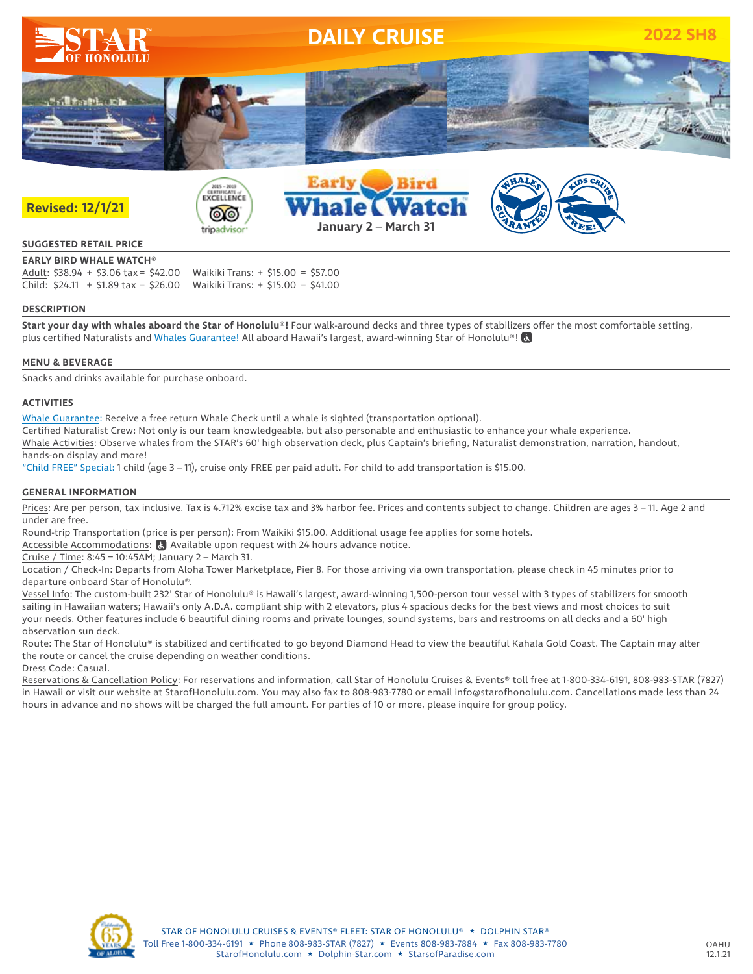

### **SUGGESTED RETAIL PRICE**

**EARLY BIRD WHALE WATCH®** Adult: \$38.94 + \$3.06 tax = \$42.00 Waikiki Trans: + \$15.00 = \$57.00 Child: \$24.11 + \$1.89 tax = \$26.00 Waikiki Trans: + \$15.00 = \$41.00

#### **DESCRIPTION**

**Start your day with whales aboard the Star of Honolulu**®**!** Four walk-around decks and three types of stabilizers offer the most comfortable setting, plus certified Naturalists and Whales Guarantee! All aboard Hawaii's largest, award-winning Star of Honolulu®!

#### **MENU & BEVERAGE**

Snacks and drinks available for purchase onboard.

#### **ACTIVITIES**

Whale Guarantee: Receive a free return Whale Check until a whale is sighted (transportation optional).

Certified Naturalist Crew: Not only is our team knowledgeable, but also personable and enthusiastic to enhance your whale experience.

Whale Activities: Observe whales from the STAR's 60' high observation deck, plus Captain's briefing, Naturalist demonstration, narration, handout, hands-on display and more!

"Child FREE" Special: 1 child (age 3 – 11), cruise only FREE per paid adult. For child to add transportation is \$15.00.

#### **GENERAL INFORMATION**

Prices: Are per person, tax inclusive. Tax is 4.712% excise tax and 3% harbor fee. Prices and contents subject to change. Children are ages 3 - 11. Age 2 and under are free.

Round-trip Transportation (price is per person): From Waikiki \$15.00. Additional usage fee applies for some hotels.

Accessible Accommodations: **a** Available upon request with 24 hours advance notice.

Cruise / Time: 8:45 – 10:45AM; January 2 – March 31.

Location / Check-In: Departs from Aloha Tower Marketplace, Pier 8. For those arriving via own transportation, please check in 45 minutes prior to departure onboard Star of Honolulu®.

Vessel Info: The custom-built 232' Star of Honolulu® is Hawaii's largest, award-winning 1,500-person tour vessel with 3 types of stabilizers for smooth sailing in Hawaiian waters; Hawaii's only A.D.A. compliant ship with 2 elevators, plus 4 spacious decks for the best views and most choices to suit your needs. Other features include 6 beautiful dining rooms and private lounges, sound systems, bars and restrooms on all decks and a 60' high observation sun deck.

Route: The Star of Honolulu® is stabilized and certificated to go beyond Diamond Head to view the beautiful Kahala Gold Coast. The Captain may alter the route or cancel the cruise depending on weather conditions.

Dress Code: Casual.

Reservations & Cancellation Policy: For reservations and information, call Star of Honolulu Cruises & Events® toll free at 1-800-334-6191, 808-983-STAR (7827) in Hawaii or visit our website at StarofHonolulu.com. You may also fax to 808-983-7780 or email info@starofhonolulu.com. Cancellations made less than 24 hours in advance and no shows will be charged the full amount. For parties of 10 or more, please inquire for group policy.